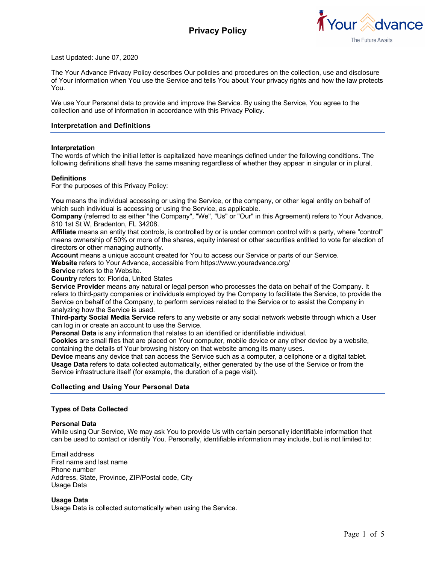

Last Updated: June 07, 2020

The Your Advance Privacy Policy describes Our policies and procedures on the collection, use and disclosure of Your information when You use the Service and tells You about Your privacy rights and how the law protects You.

We use Your Personal data to provide and improve the Service. By using the Service, You agree to the collection and use of information in accordance with this Privacy Policy.

#### **Interpretation and Definitions**

#### **Interpretation**

The words of which the initial letter is capitalized have meanings defined under the following conditions. The following definitions shall have the same meaning regardless of whether they appear in singular or in plural.

#### **Definitions**

For the purposes of this Privacy Policy:

**You** means the individual accessing or using the Service, or the company, or other legal entity on behalf of which such individual is accessing or using the Service, as applicable.

**Company** (referred to as either "the Company", "We", "Us" or "Our" in this Agreement) refers to Your Advance, 810 1st St W, Bradenton, FL 34208.

**Affiliate** means an entity that controls, is controlled by or is under common control with a party, where "control" means ownership of 50% or more of the shares, equity interest or other securities entitled to vote for election of directors or other managing authority.

Account means a unique account created for You to access our Service or parts of our Service.

**Website** refers to Your Advance, accessible from https://www.youradvance.org/

**Service** refers to the Website.

**Country** refers to: Florida, United States

**Service Provider** means any natural or legal person who processes the data on behalf of the Company. It refers to third-party companies or individuals employed by the Company to facilitate the Service, to provide the Service on behalf of the Company, to perform services related to the Service or to assist the Company in analyzing how the Service is used.

**Third-party Social Media Service** refers to any website or any social network website through which a User can log in or create an account to use the Service.

**Personal Data** is any information that relates to an identified or identifiable individual.

**Cookies** are small files that are placed on Your computer, mobile device or any other device by a website, containing the details of Your browsing history on that website among its many uses.

**Device** means any device that can access the Service such as a computer, a cellphone or a digital tablet. **Usage Data** refers to data collected automatically, either generated by the use of the Service or from the Service infrastructure itself (for example, the duration of a page visit).

### **Collecting and Using Your Personal Data**

#### **Types of Data Collected**

#### **Personal Data**

While using Our Service, We may ask You to provide Us with certain personally identifiable information that can be used to contact or identify You. Personally, identifiable information may include, but is not limited to:

Email address First name and last name Phone number Address, State, Province, ZIP/Postal code, City Usage Data

**Usage Data** Usage Data is collected automatically when using the Service.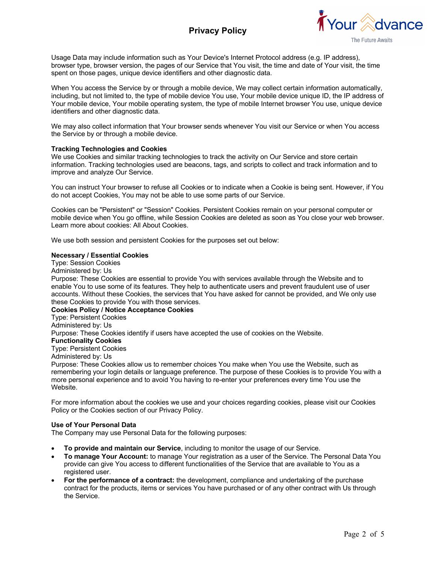# **Privacy Policy**



Usage Data may include information such as Your Device's Internet Protocol address (e.g. IP address), browser type, browser version, the pages of our Service that You visit, the time and date of Your visit, the time spent on those pages, unique device identifiers and other diagnostic data.

When You access the Service by or through a mobile device, We may collect certain information automatically, including, but not limited to, the type of mobile device You use, Your mobile device unique ID, the IP address of Your mobile device, Your mobile operating system, the type of mobile Internet browser You use, unique device identifiers and other diagnostic data.

We may also collect information that Your browser sends whenever You visit our Service or when You access the Service by or through a mobile device.

### **Tracking Technologies and Cookies**

We use Cookies and similar tracking technologies to track the activity on Our Service and store certain information. Tracking technologies used are beacons, tags, and scripts to collect and track information and to improve and analyze Our Service.

You can instruct Your browser to refuse all Cookies or to indicate when a Cookie is being sent. However, if You do not accept Cookies, You may not be able to use some parts of our Service.

Cookies can be "Persistent" or "Session" Cookies. Persistent Cookies remain on your personal computer or mobile device when You go offline, while Session Cookies are deleted as soon as You close your web browser. Learn more about cookies: All About Cookies.

We use both session and persistent Cookies for the purposes set out below:

## **Necessary / Essential Cookies**

Type: Session Cookies

Administered by: Us

Purpose: These Cookies are essential to provide You with services available through the Website and to enable You to use some of its features. They help to authenticate users and prevent fraudulent use of user accounts. Without these Cookies, the services that You have asked for cannot be provided, and We only use these Cookies to provide You with those services.

### **Cookies Policy / Notice Acceptance Cookies**

Type: Persistent Cookies

Administered by: Us

Purpose: These Cookies identify if users have accepted the use of cookies on the Website.

### **Functionality Cookies**

Type: Persistent Cookies

Administered by: Us

Purpose: These Cookies allow us to remember choices You make when You use the Website, such as remembering your login details or language preference. The purpose of these Cookies is to provide You with a more personal experience and to avoid You having to re-enter your preferences every time You use the Website.

For more information about the cookies we use and your choices regarding cookies, please visit our Cookies Policy or the Cookies section of our Privacy Policy.

### **Use of Your Personal Data**

The Company may use Personal Data for the following purposes:

- **To provide and maintain our Service**, including to monitor the usage of our Service.
- **To manage Your Account:** to manage Your registration as a user of the Service. The Personal Data You provide can give You access to different functionalities of the Service that are available to You as a registered user.
- **For the performance of a contract:** the development, compliance and undertaking of the purchase contract for the products, items or services You have purchased or of any other contract with Us through the Service.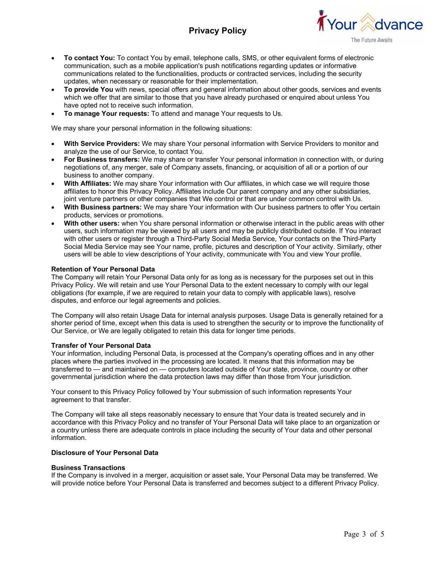# **Privacy Policy**



- **To contact You:** To contact You by email, telephone calls, SMS, or other equivalent forms of electronic communication, such as a mobile application's push notifications regarding updates or informative communications related to the functionalities, products or contracted services, including the security updates, when necessary or reasonable for their implementation.
- **To provide You** with news, special offers and general information about other goods, services and events which we offer that are similar to those that you have already purchased or enquired about unless You have opted not to receive such information.
- **To manage Your requests:** To attend and manage Your requests to Us.

We may share your personal information in the following situations:

- **With Service Providers:** We may share Your personal information with Service Providers to monitor and analyze the use of our Service, to contact You.
- **For Business transfers:** We may share or transfer Your personal information in connection with, or during negotiations of, any merger, sale of Company assets, financing, or acquisition of all or a portion of our business to another company.
- **With Affiliates:** We may share Your information with Our affiliates, in which case we will require those affiliates to honor this Privacy Policy. Affiliates include Our parent company and any other subsidiaries, joint venture partners or other companies that We control or that are under common control with Us.
- **With Business partners:** We may share Your information with Our business partners to offer You certain products, services or promotions.
- **With other users:** when You share personal information or otherwise interact in the public areas with other users, such information may be viewed by all users and may be publicly distributed outside. If You interact with other users or register through a Third-Party Social Media Service, Your contacts on the Third-Party Social Media Service may see Your name, profile, pictures and description of Your activity. Similarly, other users will be able to view descriptions of Your activity, communicate with You and view Your profile.

## **Retention of Your Personal Data**

The Company will retain Your Personal Data only for as long as is necessary for the purposes set out in this Privacy Policy. We will retain and use Your Personal Data to the extent necessary to comply with our legal obligations (for example, if we are required to retain your data to comply with applicable laws), resolve disputes, and enforce our legal agreements and policies.

The Company will also retain Usage Data for internal analysis purposes. Usage Data is generally retained for a shorter period of time, except when this data is used to strengthen the security or to improve the functionality of Our Service, or We are legally obligated to retain this data for longer time periods.

### **Transfer of Your Personal Data**

Your information, including Personal Data, is processed at the Company's operating offices and in any other places where the parties involved in the processing are located. It means that this information may be transferred to — and maintained on — computers located outside of Your state, province, country or other governmental jurisdiction where the data protection laws may differ than those from Your jurisdiction.

Your consent to this Privacy Policy followed by Your submission of such information represents Your agreement to that transfer.

The Company will take all steps reasonably necessary to ensure that Your data is treated securely and in accordance with this Privacy Policy and no transfer of Your Personal Data will take place to an organization or a country unless there are adequate controls in place including the security of Your data and other personal information.

### **Disclosure of Your Personal Data**

### **Business Transactions**

If the Company is involved in a merger, acquisition or asset sale, Your Personal Data may be transferred. We will provide notice before Your Personal Data is transferred and becomes subject to a different Privacy Policy.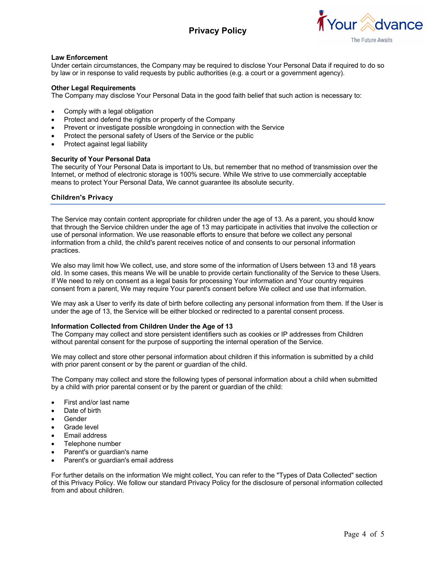# **Privacy Policy**



## **Law Enforcement**

Under certain circumstances, the Company may be required to disclose Your Personal Data if required to do so by law or in response to valid requests by public authorities (e.g. a court or a government agency).

## **Other Legal Requirements**

The Company may disclose Your Personal Data in the good faith belief that such action is necessary to:

- Comply with a legal obligation
- Protect and defend the rights or property of the Company
- Prevent or investigate possible wrongdoing in connection with the Service
- Protect the personal safety of Users of the Service or the public
- Protect against legal liability

### **Security of Your Personal Data**

The security of Your Personal Data is important to Us, but remember that no method of transmission over the Internet, or method of electronic storage is 100% secure. While We strive to use commercially acceptable means to protect Your Personal Data, We cannot guarantee its absolute security.

## **Children's Privacy**

The Service may contain content appropriate for children under the age of 13. As a parent, you should know that through the Service children under the age of 13 may participate in activities that involve the collection or use of personal information. We use reasonable efforts to ensure that before we collect any personal information from a child, the child's parent receives notice of and consents to our personal information practices.

We also may limit how We collect, use, and store some of the information of Users between 13 and 18 years old. In some cases, this means We will be unable to provide certain functionality of the Service to these Users. If We need to rely on consent as a legal basis for processing Your information and Your country requires consent from a parent, We may require Your parent's consent before We collect and use that information.

We may ask a User to verify its date of birth before collecting any personal information from them. If the User is under the age of 13, the Service will be either blocked or redirected to a parental consent process.

### **Information Collected from Children Under the Age of 13**

The Company may collect and store persistent identifiers such as cookies or IP addresses from Children without parental consent for the purpose of supporting the internal operation of the Service.

We may collect and store other personal information about children if this information is submitted by a child with prior parent consent or by the parent or guardian of the child.

The Company may collect and store the following types of personal information about a child when submitted by a child with prior parental consent or by the parent or guardian of the child:

- First and/or last name
- Date of birth
- **Gender**
- Grade level
- Email address
- Telephone number
- Parent's or guardian's name
- Parent's or guardian's email address

For further details on the information We might collect, You can refer to the "Types of Data Collected" section of this Privacy Policy. We follow our standard Privacy Policy for the disclosure of personal information collected from and about children.